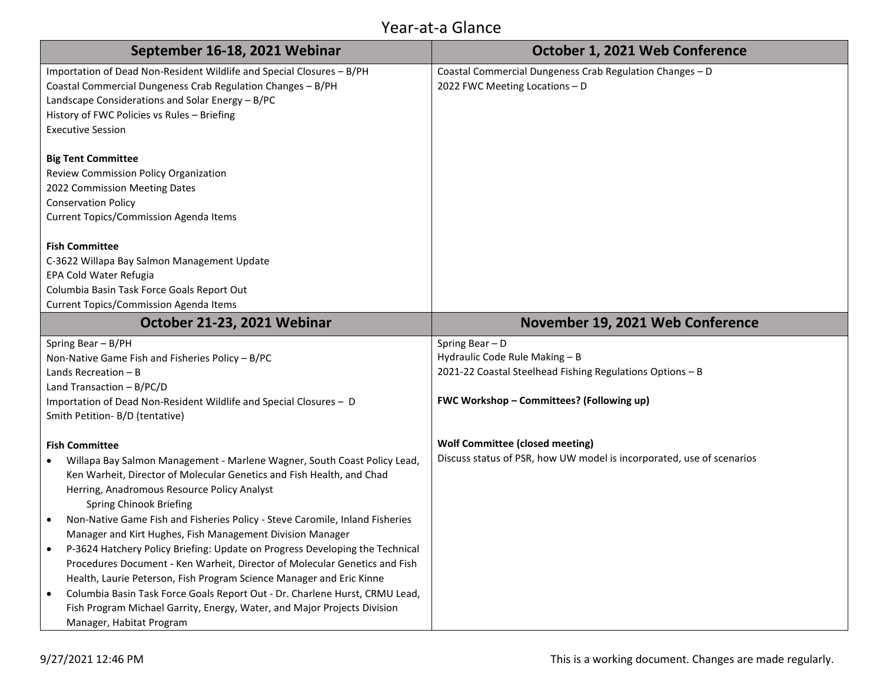| September 16-18, 2021 Webinar                                                    | October 1, 2021 Web Conference                                        |
|----------------------------------------------------------------------------------|-----------------------------------------------------------------------|
| Importation of Dead Non-Resident Wildlife and Special Closures - B/PH            | Coastal Commercial Dungeness Crab Regulation Changes - D              |
| Coastal Commercial Dungeness Crab Regulation Changes - B/PH                      | 2022 FWC Meeting Locations - D                                        |
| Landscape Considerations and Solar Energy - B/PC                                 |                                                                       |
| History of FWC Policies vs Rules - Briefing                                      |                                                                       |
| <b>Executive Session</b>                                                         |                                                                       |
| <b>Big Tent Committee</b>                                                        |                                                                       |
| Review Commission Policy Organization                                            |                                                                       |
| 2022 Commission Meeting Dates                                                    |                                                                       |
| <b>Conservation Policy</b>                                                       |                                                                       |
| Current Topics/Commission Agenda Items                                           |                                                                       |
|                                                                                  |                                                                       |
| <b>Fish Committee</b>                                                            |                                                                       |
| C-3622 Willapa Bay Salmon Management Update                                      |                                                                       |
| EPA Cold Water Refugia                                                           |                                                                       |
| Columbia Basin Task Force Goals Report Out                                       |                                                                       |
| <b>Current Topics/Commission Agenda Items</b>                                    |                                                                       |
| October 21-23, 2021 Webinar                                                      | November 19, 2021 Web Conference                                      |
| Spring Bear - B/PH                                                               | Spring Bear - D                                                       |
| Non-Native Game Fish and Fisheries Policy - B/PC                                 | Hydraulic Code Rule Making - B                                        |
| Lands Recreation $- B$                                                           | 2021-22 Coastal Steelhead Fishing Regulations Options - B             |
| Land Transaction - B/PC/D                                                        |                                                                       |
| Importation of Dead Non-Resident Wildlife and Special Closures - D               | FWC Workshop - Committees? (Following up)                             |
| Smith Petition- B/D (tentative)                                                  |                                                                       |
| <b>Fish Committee</b>                                                            | <b>Wolf Committee (closed meeting)</b>                                |
| Willapa Bay Salmon Management - Marlene Wagner, South Coast Policy Lead,         | Discuss status of PSR, how UW model is incorporated, use of scenarios |
| Ken Warheit, Director of Molecular Genetics and Fish Health, and Chad            |                                                                       |
| Herring, Anadromous Resource Policy Analyst                                      |                                                                       |
| Spring Chinook Briefing                                                          |                                                                       |
| Non-Native Game Fish and Fisheries Policy - Steve Caromile, Inland Fisheries     |                                                                       |
| Manager and Kirt Hughes, Fish Management Division Manager                        |                                                                       |
| P-3624 Hatchery Policy Briefing: Update on Progress Developing the Technical     |                                                                       |
| Procedures Document - Ken Warheit, Director of Molecular Genetics and Fish       |                                                                       |
| Health, Laurie Peterson, Fish Program Science Manager and Eric Kinne             |                                                                       |
| Columbia Basin Task Force Goals Report Out - Dr. Charlene Hurst, CRMU Lead,<br>٠ |                                                                       |
| Fish Program Michael Garrity, Energy, Water, and Major Projects Division         |                                                                       |
| Manager, Habitat Program                                                         |                                                                       |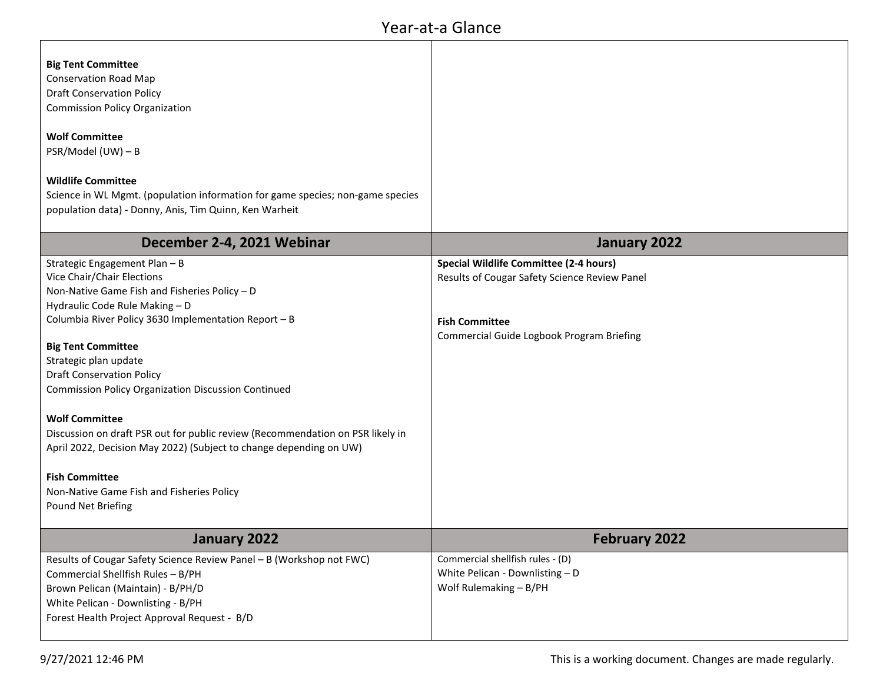| <b>Big Tent Committee</b>                                                      |                                               |
|--------------------------------------------------------------------------------|-----------------------------------------------|
| <b>Conservation Road Map</b>                                                   |                                               |
| <b>Draft Conservation Policy</b>                                               |                                               |
| <b>Commission Policy Organization</b>                                          |                                               |
|                                                                                |                                               |
| <b>Wolf Committee</b>                                                          |                                               |
| PSR/Model (UW) - B                                                             |                                               |
| <b>Wildlife Committee</b>                                                      |                                               |
| Science in WL Mgmt. (population information for game species; non-game species |                                               |
| population data) - Donny, Anis, Tim Quinn, Ken Warheit                         |                                               |
|                                                                                |                                               |
| December 2-4, 2021 Webinar                                                     | January 2022                                  |
| Strategic Engagement Plan - B                                                  | <b>Special Wildlife Committee (2-4 hours)</b> |
| Vice Chair/Chair Elections                                                     | Results of Cougar Safety Science Review Panel |
| Non-Native Game Fish and Fisheries Policy - D                                  |                                               |
| Hydraulic Code Rule Making - D                                                 |                                               |
| Columbia River Policy 3630 Implementation Report - B                           | <b>Fish Committee</b>                         |
| <b>Big Tent Committee</b>                                                      | Commercial Guide Logbook Program Briefing     |
| Strategic plan update                                                          |                                               |
| <b>Draft Conservation Policy</b>                                               |                                               |
| <b>Commission Policy Organization Discussion Continued</b>                     |                                               |
|                                                                                |                                               |
| <b>Wolf Committee</b>                                                          |                                               |
| Discussion on draft PSR out for public review (Recommendation on PSR likely in |                                               |
| April 2022, Decision May 2022) (Subject to change depending on UW)             |                                               |
|                                                                                |                                               |
| <b>Fish Committee</b>                                                          |                                               |
| Non-Native Game Fish and Fisheries Policy                                      |                                               |
| Pound Net Briefing                                                             |                                               |
| January 2022                                                                   | <b>February 2022</b>                          |
| Results of Cougar Safety Science Review Panel - B (Workshop not FWC)           | Commercial shellfish rules - (D)              |
| Commercial Shellfish Rules - B/PH                                              | White Pelican - Downlisting - D               |
| Brown Pelican (Maintain) - B/PH/D                                              | Wolf Rulemaking - B/PH                        |
| White Pelican - Downlisting - B/PH                                             |                                               |
| Forest Health Project Approval Request - B/D                                   |                                               |
|                                                                                |                                               |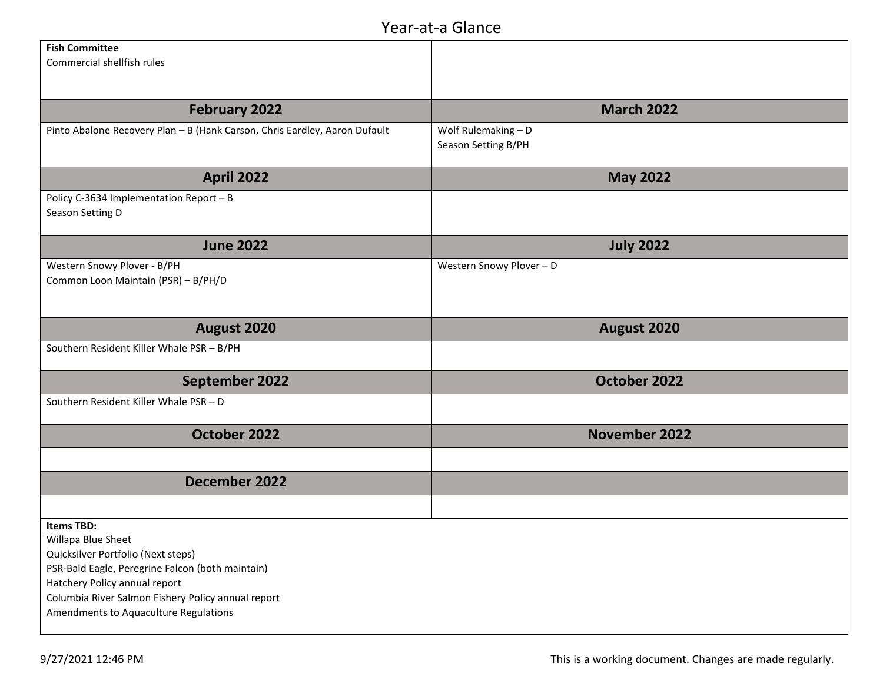| <b>Fish Committee</b>                                                      |                          |
|----------------------------------------------------------------------------|--------------------------|
| Commercial shellfish rules                                                 |                          |
|                                                                            |                          |
|                                                                            |                          |
|                                                                            |                          |
| <b>February 2022</b>                                                       | <b>March 2022</b>        |
| Pinto Abalone Recovery Plan - B (Hank Carson, Chris Eardley, Aaron Dufault | Wolf Rulemaking - D      |
|                                                                            | Season Setting B/PH      |
|                                                                            |                          |
|                                                                            |                          |
| <b>April 2022</b>                                                          | <b>May 2022</b>          |
| Policy C-3634 Implementation Report - B                                    |                          |
| Season Setting D                                                           |                          |
|                                                                            |                          |
|                                                                            |                          |
| <b>June 2022</b>                                                           | <b>July 2022</b>         |
| Western Snowy Plover - B/PH                                                | Western Snowy Plover - D |
| Common Loon Maintain (PSR) - B/PH/D                                        |                          |
|                                                                            |                          |
|                                                                            |                          |
|                                                                            |                          |
| August 2020                                                                | August 2020              |
| Southern Resident Killer Whale PSR - B/PH                                  |                          |
|                                                                            |                          |
| September 2022                                                             | October 2022             |
|                                                                            |                          |
| Southern Resident Killer Whale PSR - D                                     |                          |
|                                                                            |                          |
| October 2022                                                               | <b>November 2022</b>     |
|                                                                            |                          |
|                                                                            |                          |
| December 2022                                                              |                          |
|                                                                            |                          |
|                                                                            |                          |
| <b>Items TBD:</b>                                                          |                          |
| Willapa Blue Sheet                                                         |                          |
| Quicksilver Portfolio (Next steps)                                         |                          |
| PSR-Bald Eagle, Peregrine Falcon (both maintain)                           |                          |
|                                                                            |                          |
| Hatchery Policy annual report                                              |                          |
| Columbia River Salmon Fishery Policy annual report                         |                          |
| Amendments to Aquaculture Regulations                                      |                          |
|                                                                            |                          |